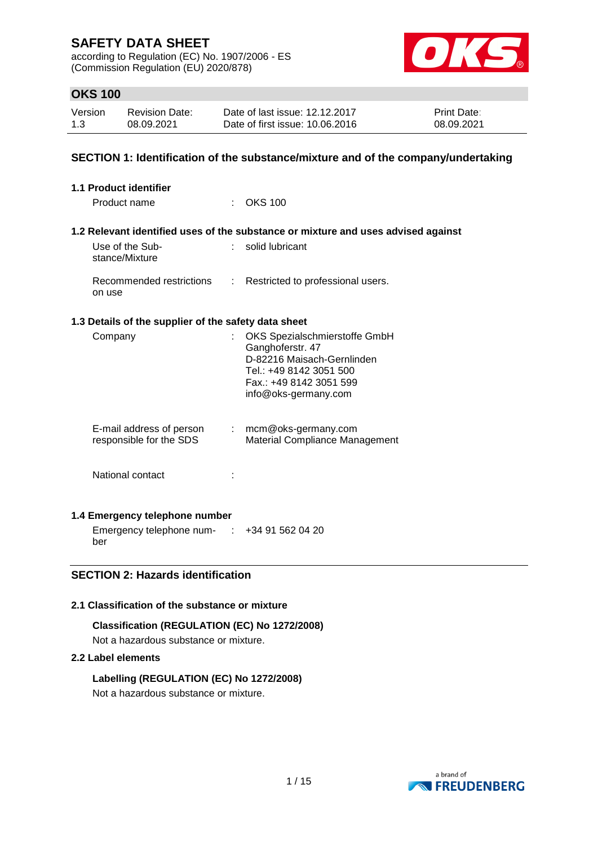according to Regulation (EC) No. 1907/2006 - ES (Commission Regulation (EU) 2020/878)



## **OKS 100**

| Version | Revision Date: | Date of last issue: 12.12.2017  | <b>Print Date:</b> |
|---------|----------------|---------------------------------|--------------------|
| 1.3     | 08.09.2021     | Date of first issue: 10.06.2016 | 08.09.2021         |

### **SECTION 1: Identification of the substance/mixture and of the company/undertaking**

| <b>1.1 Product identifier</b>                                                |                                                                                                                                                               |
|------------------------------------------------------------------------------|---------------------------------------------------------------------------------------------------------------------------------------------------------------|
| Product name<br>$\sim$                                                       | OKS 100                                                                                                                                                       |
|                                                                              | 1.2 Relevant identified uses of the substance or mixture and uses advised against                                                                             |
| Use of the Sub-<br>$\mathbf{r}_{\mathrm{max}}$<br>stance/Mixture             | solid lubricant                                                                                                                                               |
| Recommended restrictions<br>÷<br>on use                                      | Restricted to professional users.                                                                                                                             |
| 1.3 Details of the supplier of the safety data sheet                         |                                                                                                                                                               |
| Company<br>$\mathbb{R}^{\mathbb{Z}}$                                         | OKS Spezialschmierstoffe GmbH<br>Ganghoferstr. 47<br>D-82216 Maisach-Gernlinden<br>Tel.: +49 8142 3051 500<br>Fax.: +49 8142 3051 599<br>info@oks-germany.com |
| E-mail address of person<br>$\mathbb{Z}^{\times}$<br>responsible for the SDS | mcm@oks-germany.com<br>Material Compliance Management                                                                                                         |
| National contact                                                             |                                                                                                                                                               |

### **1.4 Emergency telephone number**

Emergency telephone num- : +34 91 562 04 20 ber

# **SECTION 2: Hazards identification**

### **2.1 Classification of the substance or mixture**

### **Classification (REGULATION (EC) No 1272/2008)**

Not a hazardous substance or mixture.

### **2.2 Label elements**

### **Labelling (REGULATION (EC) No 1272/2008)**

Not a hazardous substance or mixture.

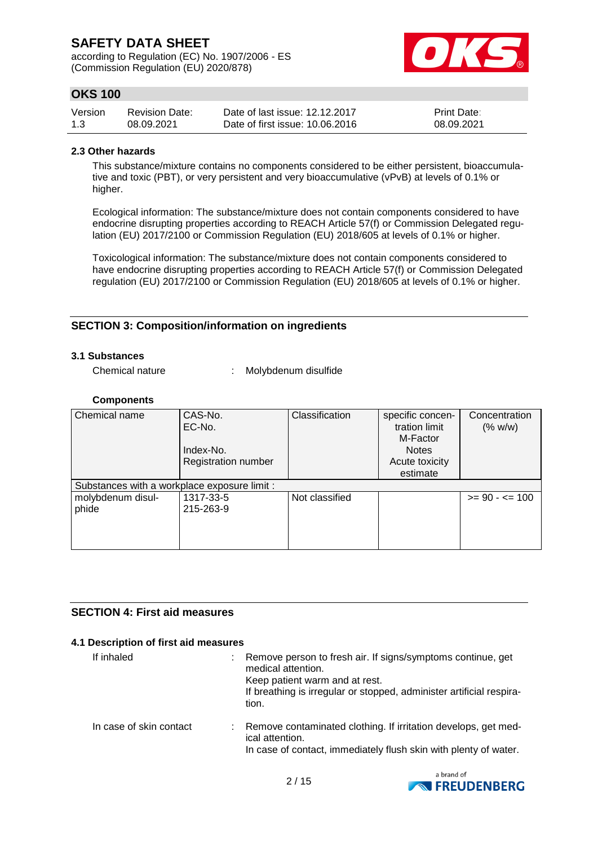according to Regulation (EC) No. 1907/2006 - ES (Commission Regulation (EU) 2020/878)



# **OKS 100**

| Version | <b>Revision Date:</b> | Date of last issue: 12.12.2017  | <b>Print Date:</b> |
|---------|-----------------------|---------------------------------|--------------------|
| 1.3     | 08.09.2021            | Date of first issue: 10.06.2016 | 08.09.2021         |

#### **2.3 Other hazards**

This substance/mixture contains no components considered to be either persistent, bioaccumulative and toxic (PBT), or very persistent and very bioaccumulative (vPvB) at levels of 0.1% or higher.

Ecological information: The substance/mixture does not contain components considered to have endocrine disrupting properties according to REACH Article 57(f) or Commission Delegated regulation (EU) 2017/2100 or Commission Regulation (EU) 2018/605 at levels of 0.1% or higher.

Toxicological information: The substance/mixture does not contain components considered to have endocrine disrupting properties according to REACH Article 57(f) or Commission Delegated regulation (EU) 2017/2100 or Commission Regulation (EU) 2018/605 at levels of 0.1% or higher.

## **SECTION 3: Composition/information on ingredients**

### **3.1 Substances**

Chemical nature : Molybdenum disulfide

#### **Components**

| Chemical name                                | CAS-No.                    | Classification | specific concen- | Concentration     |
|----------------------------------------------|----------------------------|----------------|------------------|-------------------|
|                                              | EC-No.                     |                | tration limit    | (% w/w)           |
|                                              |                            |                | M-Factor         |                   |
|                                              | Index-No.                  |                | <b>Notes</b>     |                   |
|                                              | <b>Registration number</b> |                | Acute toxicity   |                   |
|                                              |                            |                | estimate         |                   |
| Substances with a workplace exposure limit : |                            |                |                  |                   |
| molybdenum disul-                            | 1317-33-5                  | Not classified |                  | $>= 90 - 5 = 100$ |
| phide                                        | 215-263-9                  |                |                  |                   |
|                                              |                            |                |                  |                   |
|                                              |                            |                |                  |                   |
|                                              |                            |                |                  |                   |

### **SECTION 4: First aid measures**

### **4.1 Description of first aid measures**

| If inhaled              | Remove person to fresh air. If signs/symptoms continue, get<br>medical attention.<br>Keep patient warm and at rest.<br>If breathing is irregular or stopped, administer artificial respira-<br>tion. |
|-------------------------|------------------------------------------------------------------------------------------------------------------------------------------------------------------------------------------------------|
| In case of skin contact | Remove contaminated clothing. If irritation develops, get med-<br>ical attention.<br>In case of contact, immediately flush skin with plenty of water.                                                |

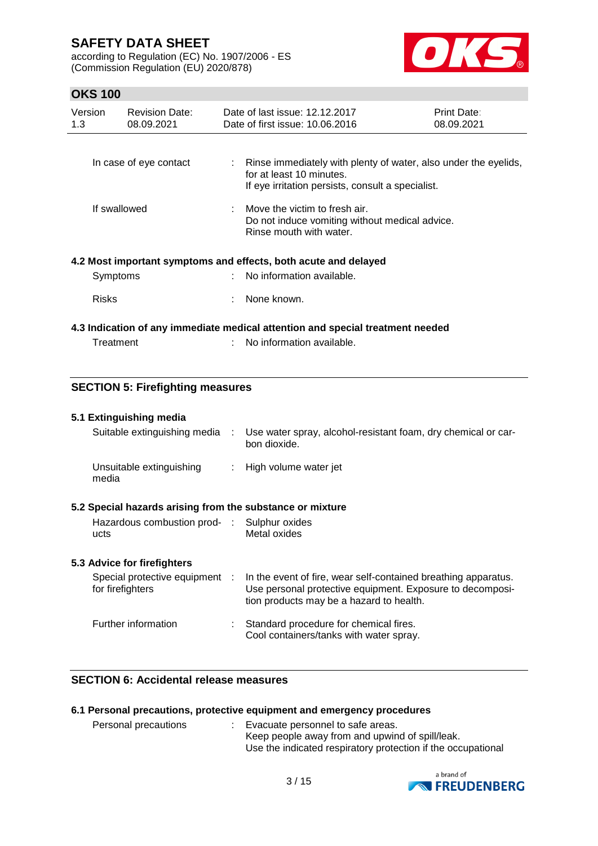according to Regulation (EC) No. 1907/2006 - ES (Commission Regulation (EU) 2020/878)



## **OKS 100**

| Version<br>1.3 | <b>Revision Date:</b><br>08.09.2021 | Date of last issue: 12.12.2017<br>Date of first issue: 10.06.2016                                                                                  | Print Date:<br>08.09.2021 |
|----------------|-------------------------------------|----------------------------------------------------------------------------------------------------------------------------------------------------|---------------------------|
|                | In case of eye contact              | : Rinse immediately with plenty of water, also under the eyelids,<br>for at least 10 minutes.<br>If eye irritation persists, consult a specialist. |                           |
| If swallowed   |                                     | $\therefore$ Move the victim to fresh air.<br>Do not induce vomiting without medical advice.<br>Rinse mouth with water.                            |                           |
|                |                                     | 4.2 Most important symptoms and effects, both acute and delayed                                                                                    |                           |
| Symptoms       |                                     | No information available.                                                                                                                          |                           |
| <b>Risks</b>   |                                     | None known.                                                                                                                                        |                           |
|                |                                     | 4.3 Indication of any immediate medical attention and special treatment needed                                                                     |                           |
| Treatment      |                                     | No information available.                                                                                                                          |                           |

## **SECTION 5: Firefighting measures**

#### **5.1 Extinguishing media**

| Suitable extinguishing media :                            | Use water spray, alcohol-resistant foam, dry chemical or car-<br>bon dioxide.                                                                                           |
|-----------------------------------------------------------|-------------------------------------------------------------------------------------------------------------------------------------------------------------------------|
| Unsuitable extinguishing<br>media                         | : High volume water jet                                                                                                                                                 |
| 5.2 Special hazards arising from the substance or mixture |                                                                                                                                                                         |
| Hazardous combustion prod- : Sulphur oxides<br>ucts       | Metal oxides                                                                                                                                                            |
| 5.3 Advice for firefighters                               |                                                                                                                                                                         |
| Special protective equipment :<br>for firefighters        | In the event of fire, wear self-contained breathing apparatus.<br>Use personal protective equipment. Exposure to decomposi-<br>tion products may be a hazard to health. |
|                                                           |                                                                                                                                                                         |

| Further information | Standard procedure for chemical fires.<br>Cool containers/tanks with water spray. |
|---------------------|-----------------------------------------------------------------------------------|
|                     |                                                                                   |

### **SECTION 6: Accidental release measures**

## **6.1 Personal precautions, protective equipment and emergency procedures**

| Personal precautions | : Evacuate personnel to safe areas.                          |
|----------------------|--------------------------------------------------------------|
|                      | Keep people away from and upwind of spill/leak.              |
|                      | Use the indicated respiratory protection if the occupational |

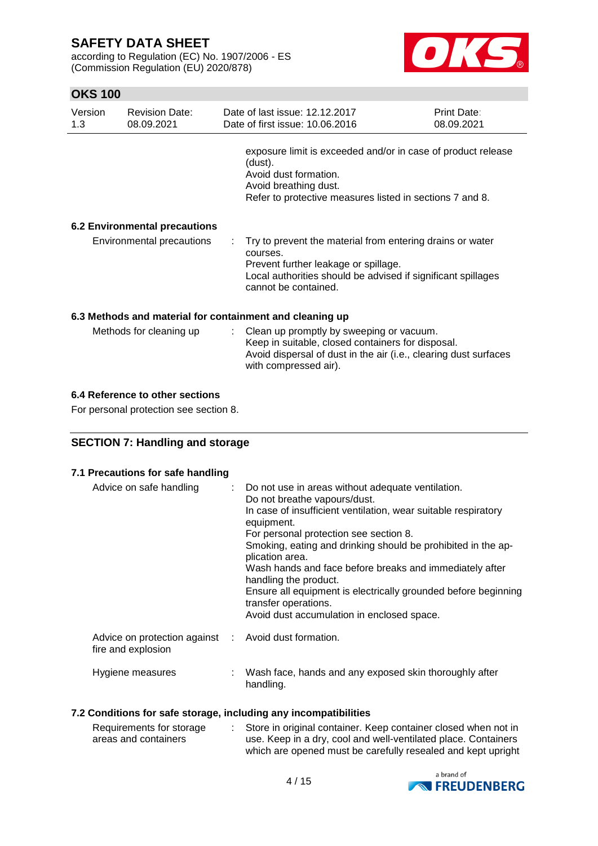according to Regulation (EC) No. 1907/2006 - ES (Commission Regulation (EU) 2020/878)



# **OKS 100**

| Version<br>1.3 | <b>Revision Date:</b><br>08.09.2021  | Date of last issue: 12.12.2017<br>Date of first issue: 10.06.2016                                                                                                                                       | Print Date:<br>08.09.2021 |
|----------------|--------------------------------------|---------------------------------------------------------------------------------------------------------------------------------------------------------------------------------------------------------|---------------------------|
|                |                                      | exposure limit is exceeded and/or in case of product release<br>(dust).<br>Avoid dust formation.<br>Avoid breathing dust.<br>Refer to protective measures listed in sections 7 and 8.                   |                           |
|                | <b>6.2 Environmental precautions</b> |                                                                                                                                                                                                         |                           |
|                | Environmental precautions            | : Try to prevent the material from entering drains or water<br>courses.<br>Prevent further leakage or spillage.<br>Local authorities should be advised if significant spillages<br>cannot be contained. |                           |
|                |                                      | 6.3 Methods and material for containment and cleaning up                                                                                                                                                |                           |
|                | Methods for cleaning up              | : Clean up promptly by sweeping or vacuum.                                                                                                                                                              |                           |

with compressed air).

Keep in suitable, closed containers for disposal.

Avoid dispersal of dust in the air (i.e., clearing dust surfaces

# **6.4 Reference to other sections**

For personal protection see section 8.

### **SECTION 7: Handling and storage**

#### **7.1 Precautions for safe handling**

| Advice on safe handling                                                    | : Do not use in areas without adequate ventilation.<br>Do not breathe vapours/dust.<br>In case of insufficient ventilation, wear suitable respiratory<br>equipment.<br>For personal protection see section 8.<br>Smoking, eating and drinking should be prohibited in the ap-<br>plication area.<br>Wash hands and face before breaks and immediately after<br>handling the product.<br>Ensure all equipment is electrically grounded before beginning<br>transfer operations.<br>Avoid dust accumulation in enclosed space. |
|----------------------------------------------------------------------------|------------------------------------------------------------------------------------------------------------------------------------------------------------------------------------------------------------------------------------------------------------------------------------------------------------------------------------------------------------------------------------------------------------------------------------------------------------------------------------------------------------------------------|
| Advice on protection against : Avoid dust formation.<br>fire and explosion |                                                                                                                                                                                                                                                                                                                                                                                                                                                                                                                              |
| Hygiene measures                                                           | Wash face, hands and any exposed skin thoroughly after<br>handling.                                                                                                                                                                                                                                                                                                                                                                                                                                                          |

#### **7.2 Conditions for safe storage, including any incompatibilities**

| Requirements for storage | Store in original container. Keep container closed when not in |
|--------------------------|----------------------------------------------------------------|
| areas and containers     | use. Keep in a dry, cool and well-ventilated place. Containers |
|                          | which are opened must be carefully resealed and kept upright   |

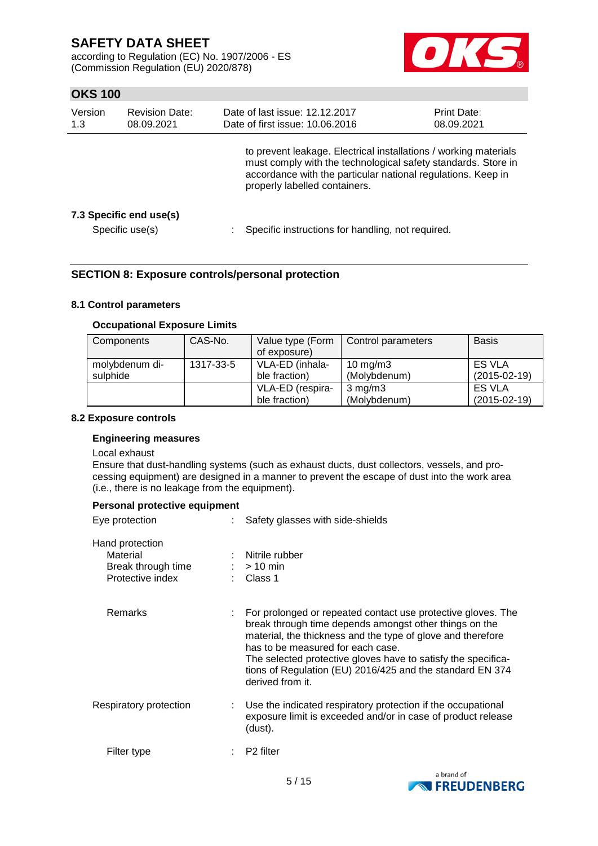according to Regulation (EC) No. 1907/2006 - ES (Commission Regulation (EU) 2020/878)



# **OKS 100**

| Version<br>1.3 | <b>Revision Date:</b><br>08.09.2021        | Date of last issue: 12.12.2017<br>Date of first issue: 10.06.2016                                                                                                                                                                  | <b>Print Date:</b><br>08.09.2021 |  |  |
|----------------|--------------------------------------------|------------------------------------------------------------------------------------------------------------------------------------------------------------------------------------------------------------------------------------|----------------------------------|--|--|
|                |                                            | to prevent leakage. Electrical installations / working materials<br>must comply with the technological safety standards. Store in<br>accordance with the particular national regulations. Keep in<br>properly labelled containers. |                                  |  |  |
|                | 7.3 Specific end use(s)<br>Specific use(s) | Specific instructions for handling, not required.                                                                                                                                                                                  |                                  |  |  |

### **SECTION 8: Exposure controls/personal protection**

### **8.1 Control parameters**

#### **Occupational Exposure Limits**

| Components                 | CAS-No.   | Value type (Form<br>of exposure)  | Control parameters           | <b>Basis</b>                        |
|----------------------------|-----------|-----------------------------------|------------------------------|-------------------------------------|
| molybdenum di-<br>sulphide | 1317-33-5 | VLA-ED (inhala-<br>ble fraction)  | 10 mg/m $3$<br>(Molybdenum)  | <b>ES VLA</b><br>$(2015-02-19)$     |
|                            |           | VLA-ED (respira-<br>ble fraction) | $3$ mg/m $3$<br>(Molybdenum) | <b>ES VLA</b><br>$(2015 - 02 - 19)$ |

#### **8.2 Exposure controls**

### **Engineering measures**

#### Local exhaust

Ensure that dust-handling systems (such as exhaust ducts, dust collectors, vessels, and processing equipment) are designed in a manner to prevent the escape of dust into the work area (i.e., there is no leakage from the equipment).

#### **Personal protective equipment**

| Eye protection                                                        | Safety glasses with side-shields                                                                                                                                                                                                                                                                                                                                             |
|-----------------------------------------------------------------------|------------------------------------------------------------------------------------------------------------------------------------------------------------------------------------------------------------------------------------------------------------------------------------------------------------------------------------------------------------------------------|
| Hand protection<br>Material<br>Break through time<br>Protective index | Nitrile rubber<br>$:$ > 10 min<br>: Class 1                                                                                                                                                                                                                                                                                                                                  |
| Remarks                                                               | For prolonged or repeated contact use protective gloves. The<br>break through time depends amongst other things on the<br>material, the thickness and the type of glove and therefore<br>has to be measured for each case.<br>The selected protective gloves have to satisfy the specifica-<br>tions of Regulation (EU) 2016/425 and the standard EN 374<br>derived from it. |
| Respiratory protection                                                | Use the indicated respiratory protection if the occupational<br>exposure limit is exceeded and/or in case of product release<br>(dust).                                                                                                                                                                                                                                      |
| Filter type                                                           | P <sub>2</sub> filter                                                                                                                                                                                                                                                                                                                                                        |
|                                                                       |                                                                                                                                                                                                                                                                                                                                                                              |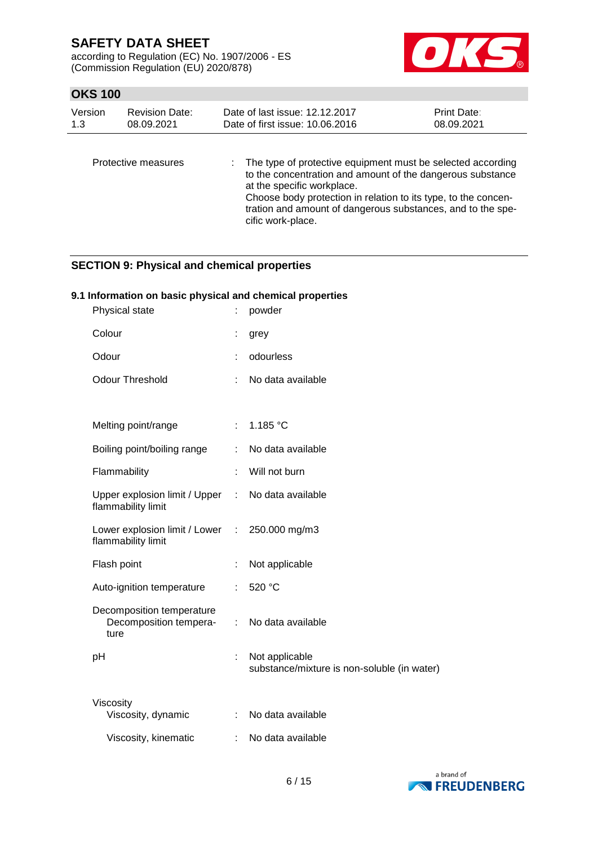according to Regulation (EC) No. 1907/2006 - ES (Commission Regulation (EU) 2020/878)



## **OKS 100**

| Version<br><b>Revision Date:</b><br>1.3<br>08.09.2021 |                     | Date of last issue: 12.12.2017<br>Date of first issue: 10.06.2016                                                           | <b>Print Date:</b><br>08.09.2021 |
|-------------------------------------------------------|---------------------|-----------------------------------------------------------------------------------------------------------------------------|----------------------------------|
|                                                       | Protective measures | : The type of protective equipment must be selected according<br>to the concentration and amount of the dangerous substance |                                  |

at the specific workplace. Choose body protection in relation to its type, to the concentration and amount of dangerous substances, and to the specific work-place.

## **SECTION 9: Physical and chemical properties**

### **9.1 Information on basic physical and chemical properties**

| Physical state                                              | t                             | powder                                                        |
|-------------------------------------------------------------|-------------------------------|---------------------------------------------------------------|
| Colour                                                      |                               | grey                                                          |
| Odour                                                       | ÷                             | odourless                                                     |
| <b>Odour Threshold</b>                                      |                               | No data available                                             |
|                                                             |                               |                                                               |
| Melting point/range                                         | $\mathbb{R}^{\mathbb{Z}}$     | 1.185 °C                                                      |
| Boiling point/boiling range                                 | ÷                             | No data available                                             |
| Flammability                                                | t.                            | Will not burn                                                 |
| Upper explosion limit / Upper<br>flammability limit         |                               | : No data available                                           |
| Lower explosion limit / Lower<br>flammability limit         | $\mathcal{L}^{\mathcal{L}}$ . | 250.000 mg/m3                                                 |
| Flash point                                                 | t                             | Not applicable                                                |
| Auto-ignition temperature                                   | ÷.                            | 520 °C                                                        |
| Decomposition temperature<br>Decomposition tempera-<br>ture | ÷                             | No data available                                             |
| pH                                                          | t                             | Not applicable<br>substance/mixture is non-soluble (in water) |
| Viscosity                                                   |                               |                                                               |
| Viscosity, dynamic                                          | ÷                             | No data available                                             |
| Viscosity, kinematic                                        |                               | No data available                                             |

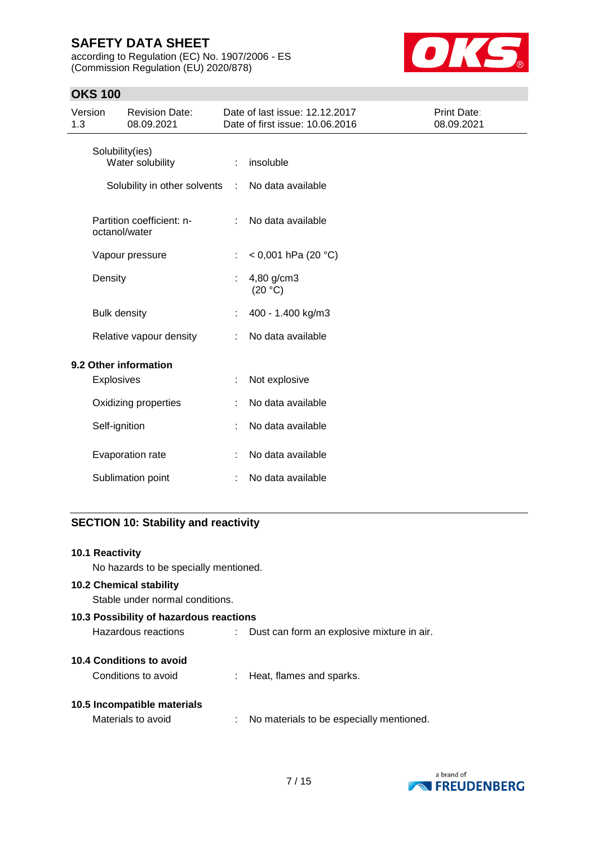according to Regulation (EC) No. 1907/2006 - ES (Commission Regulation (EU) 2020/878)



# **OKS 100**

| Version<br>1.3 |                     | <b>Revision Date:</b><br>08.09.2021        |    | Date of last issue: 12.12.2017<br>Date of first issue: 10.06.2016 | Print Date:<br>08.09.2021 |
|----------------|---------------------|--------------------------------------------|----|-------------------------------------------------------------------|---------------------------|
|                |                     | Solubility(ies)<br>Water solubility        | ÷  | insoluble                                                         |                           |
|                |                     | Solubility in other solvents :             |    | No data available                                                 |                           |
|                |                     | Partition coefficient: n-<br>octanol/water |    | No data available                                                 |                           |
|                |                     | Vapour pressure                            | ÷. | < 0,001 hPa (20 °C)                                               |                           |
|                | Density             |                                            |    | 4,80 g/cm3<br>(20 °C)                                             |                           |
|                | <b>Bulk density</b> |                                            |    | 400 - 1.400 kg/m3                                                 |                           |
|                |                     | Relative vapour density                    |    | No data available                                                 |                           |
|                |                     | 9.2 Other information                      |    |                                                                   |                           |
|                | Explosives          |                                            |    | Not explosive                                                     |                           |
|                |                     | Oxidizing properties                       |    | No data available                                                 |                           |
|                | Self-ignition       |                                            |    | No data available                                                 |                           |
|                |                     | Evaporation rate                           |    | No data available                                                 |                           |
|                |                     | Sublimation point                          |    | No data available                                                 |                           |

# **SECTION 10: Stability and reactivity**

| 10.1 Reactivity                         |  |                                            |  |  |  |  |  |  |
|-----------------------------------------|--|--------------------------------------------|--|--|--|--|--|--|
| No hazards to be specially mentioned.   |  |                                            |  |  |  |  |  |  |
| <b>10.2 Chemical stability</b>          |  |                                            |  |  |  |  |  |  |
| Stable under normal conditions.         |  |                                            |  |  |  |  |  |  |
| 10.3 Possibility of hazardous reactions |  |                                            |  |  |  |  |  |  |
| Hazardous reactions                     |  | Dust can form an explosive mixture in air. |  |  |  |  |  |  |
| 10.4 Conditions to avoid                |  |                                            |  |  |  |  |  |  |
| Conditions to avoid                     |  | Heat, flames and sparks.                   |  |  |  |  |  |  |
| 10.5 Incompatible materials             |  |                                            |  |  |  |  |  |  |
| Materials to avoid                      |  | No materials to be especially mentioned.   |  |  |  |  |  |  |
|                                         |  |                                            |  |  |  |  |  |  |

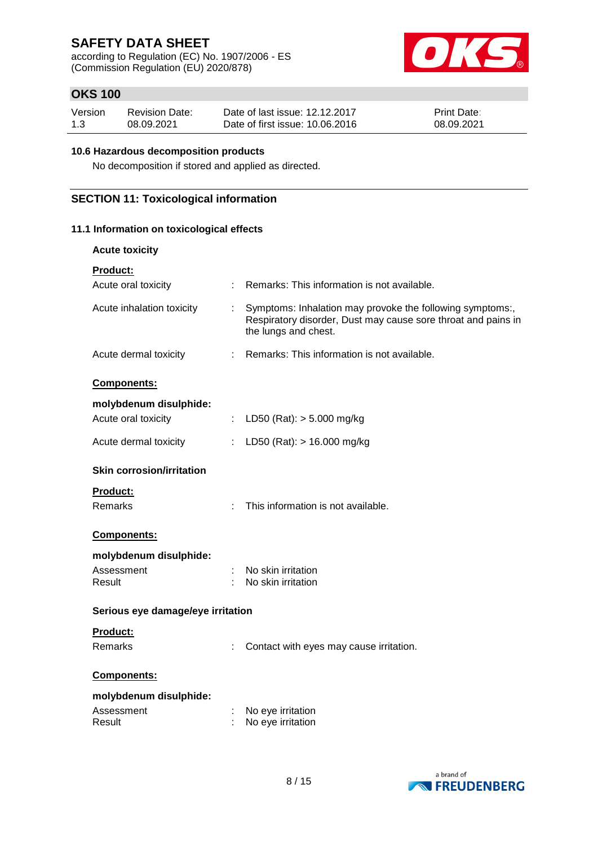according to Regulation (EC) No. 1907/2006 - ES (Commission Regulation (EU) 2020/878)



# **OKS 100**

| Version | <b>Revision Date:</b> | Date of last issue: 12.12.2017  | <b>Print Date:</b> |
|---------|-----------------------|---------------------------------|--------------------|
| 1.3     | 08.09.2021            | Date of first issue: 10.06.2016 | 08.09.2021         |

#### **10.6 Hazardous decomposition products**

No decomposition if stored and applied as directed.

### **SECTION 11: Toxicological information**

### **11.1 Information on toxicological effects**

| <b>Acute toxicity</b>                        |                                                                                                                                                    |
|----------------------------------------------|----------------------------------------------------------------------------------------------------------------------------------------------------|
| <b>Product:</b><br>Acute oral toxicity<br>÷. | Remarks: This information is not available.                                                                                                        |
|                                              |                                                                                                                                                    |
| Acute inhalation toxicity                    | Symptoms: Inhalation may provoke the following symptoms:,<br>Respiratory disorder, Dust may cause sore throat and pains in<br>the lungs and chest. |
| Acute dermal toxicity                        | : Remarks: This information is not available.                                                                                                      |
| Components:                                  |                                                                                                                                                    |
| molybdenum disulphide:                       |                                                                                                                                                    |
| Acute oral toxicity<br>$\mathbb{Z}^{\times}$ | LD50 (Rat): $> 5.000$ mg/kg                                                                                                                        |
| Acute dermal toxicity<br>÷.                  | LD50 (Rat): $> 16.000$ mg/kg                                                                                                                       |
| <b>Skin corrosion/irritation</b>             |                                                                                                                                                    |
| <b>Product:</b>                              |                                                                                                                                                    |
| Remarks                                      | This information is not available.                                                                                                                 |
| Components:                                  |                                                                                                                                                    |
| molybdenum disulphide:                       |                                                                                                                                                    |
| Assessment                                   | No skin irritation                                                                                                                                 |
| Result                                       | No skin irritation                                                                                                                                 |
| Serious eye damage/eye irritation            |                                                                                                                                                    |
| <b>Product:</b>                              |                                                                                                                                                    |
| Remarks                                      | Contact with eyes may cause irritation.                                                                                                            |
| Components:                                  |                                                                                                                                                    |
| molybdenum disulphide:                       |                                                                                                                                                    |
| Assessment                                   | No eye irritation                                                                                                                                  |
| Result                                       | No eye irritation                                                                                                                                  |

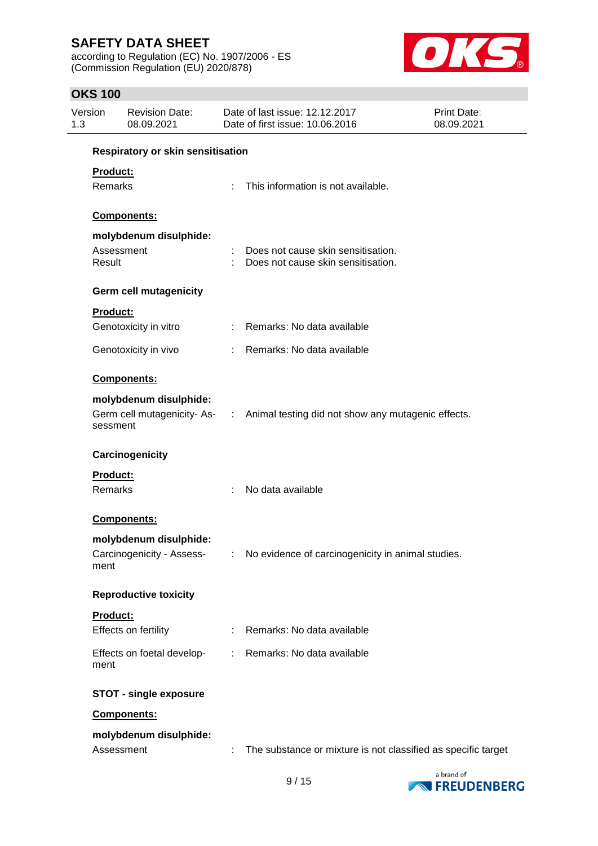according to Regulation (EC) No. 1907/2006 - ES (Commission Regulation (EU) 2020/878)



# **OKS 100**

| Version<br><b>Revision Date:</b><br>08.09.2021<br>1.3 |                                                     |                       | Date of last issue: 12.12.2017<br>Date of first issue: 10.06.2016                | Print Date:<br>08.09.2021 |
|-------------------------------------------------------|-----------------------------------------------------|-----------------------|----------------------------------------------------------------------------------|---------------------------|
|                                                       | Respiratory or skin sensitisation                   |                       |                                                                                  |                           |
| Product:<br>Remarks                                   |                                                     |                       | This information is not available.                                               |                           |
|                                                       | Components:                                         |                       |                                                                                  |                           |
|                                                       | molybdenum disulphide:                              |                       |                                                                                  |                           |
| Result                                                | Assessment                                          |                       | Does not cause skin sensitisation.<br>Does not cause skin sensitisation.         |                           |
|                                                       | <b>Germ cell mutagenicity</b>                       |                       |                                                                                  |                           |
| Product:                                              |                                                     |                       |                                                                                  |                           |
|                                                       | Genotoxicity in vitro                               |                       | : Remarks: No data available                                                     |                           |
|                                                       | Genotoxicity in vivo                                |                       | : Remarks: No data available                                                     |                           |
|                                                       | Components:                                         |                       |                                                                                  |                           |
| sessment                                              | molybdenum disulphide:                              |                       | Germ cell mutagenicity- As- : Animal testing did not show any mutagenic effects. |                           |
|                                                       | Carcinogenicity                                     |                       |                                                                                  |                           |
| <b>Product:</b><br>Remarks                            |                                                     | ÷.                    | No data available                                                                |                           |
|                                                       | Components:                                         |                       |                                                                                  |                           |
| ment                                                  | molybdenum disulphide:<br>Carcinogenicity - Assess- |                       | : No evidence of carcinogenicity in animal studies.                              |                           |
|                                                       | <b>Reproductive toxicity</b>                        |                       |                                                                                  |                           |
| Product:                                              | Effects on fertility                                |                       | Remarks: No data available                                                       |                           |
| ment                                                  | Effects on foetal develop-                          | $\mathbb{Z}^{\times}$ | Remarks: No data available                                                       |                           |
|                                                       | <b>STOT - single exposure</b>                       |                       |                                                                                  |                           |
|                                                       | Components:                                         |                       |                                                                                  |                           |
|                                                       | molybdenum disulphide:<br>Assessment                |                       | The substance or mixture is not classified as specific target                    |                           |

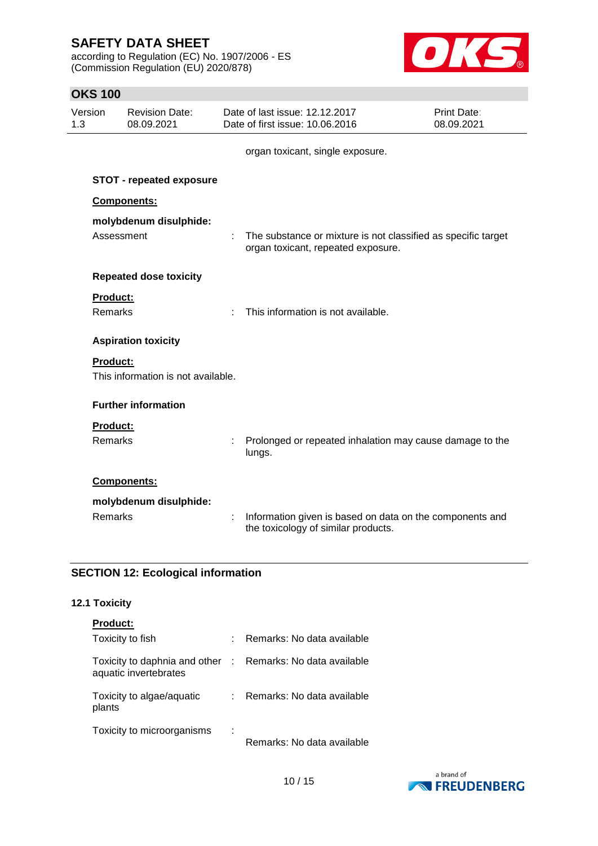according to Regulation (EC) No. 1907/2006 - ES (Commission Regulation (EU) 2020/878)



## **OKS 100**

| Version<br>1.3 |                            | <b>Revision Date:</b><br>08.09.2021 |   | Date of last issue: 12.12.2017<br>Date of first issue: 10.06.2016                                   | Print Date:<br>08.09.2021 |
|----------------|----------------------------|-------------------------------------|---|-----------------------------------------------------------------------------------------------------|---------------------------|
|                |                            |                                     |   | organ toxicant, single exposure.                                                                    |                           |
|                |                            | <b>STOT - repeated exposure</b>     |   |                                                                                                     |                           |
|                |                            | Components:                         |   |                                                                                                     |                           |
|                | Assessment                 | molybdenum disulphide:              |   | The substance or mixture is not classified as specific target<br>organ toxicant, repeated exposure. |                           |
|                |                            | <b>Repeated dose toxicity</b>       |   |                                                                                                     |                           |
|                | Product:<br><b>Remarks</b> |                                     | ÷ | This information is not available.                                                                  |                           |
|                |                            | <b>Aspiration toxicity</b>          |   |                                                                                                     |                           |
|                | Product:                   | This information is not available.  |   |                                                                                                     |                           |
|                |                            | <b>Further information</b>          |   |                                                                                                     |                           |
|                | Product:<br><b>Remarks</b> |                                     |   | Prolonged or repeated inhalation may cause damage to the<br>lungs.                                  |                           |
|                |                            | Components:                         |   |                                                                                                     |                           |
|                | Remarks                    | molybdenum disulphide:              | ÷ | Information given is based on data on the components and<br>the toxicology of similar products.     |                           |

# **SECTION 12: Ecological information**

# **12.1 Toxicity**

# **Product:**

| Toxicity to fish                                                                    | : Remarks: No data available |
|-------------------------------------------------------------------------------------|------------------------------|
| Toxicity to daphnia and other : Remarks: No data available<br>aquatic invertebrates |                              |
| Toxicity to algae/aquatic<br>plants                                                 | Remarks: No data available   |
| Toxicity to microorganisms                                                          | Remarks: No data available   |

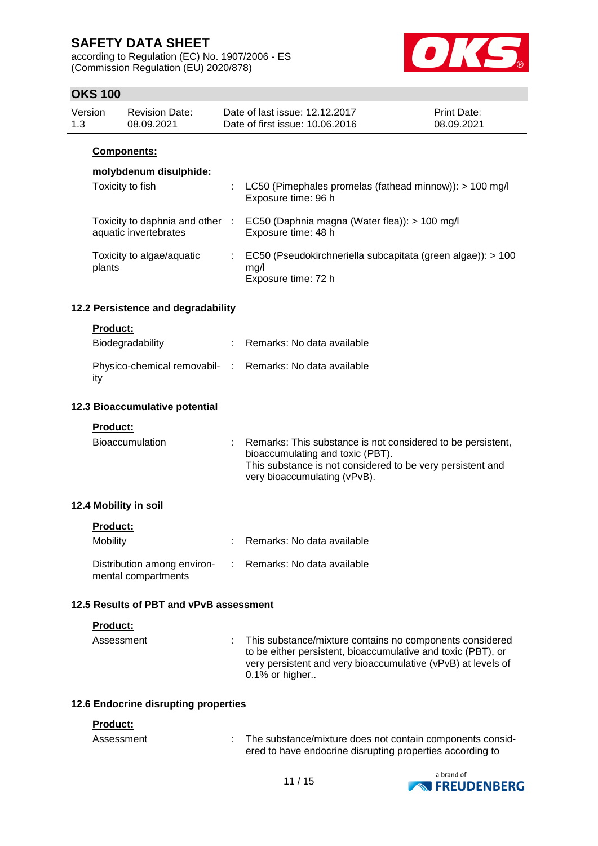according to Regulation (EC) No. 1907/2006 - ES (Commission Regulation (EU) 2020/878)



## **OKS 100**

| Version | <b>Revision Date:</b> | Date of last issue: 12.12.2017  | <b>Print Date:</b> |
|---------|-----------------------|---------------------------------|--------------------|
| 1.3     | 08.09.2021            | Date of first issue: 10.06.2016 | 08.09.2021         |
|         |                       |                                 |                    |

### **Components:**

## **molybdenum disulphide:**

| Toxicity to fish                                       |   | : LC50 (Pimephales promelas (fathead minnow)): > 100 mg/l<br>Exposure time: 96 h           |
|--------------------------------------------------------|---|--------------------------------------------------------------------------------------------|
| Toxicity to daphnia and other<br>aquatic invertebrates | ÷ | EC50 (Daphnia magna (Water flea)): > 100 mg/l<br>Exposure time: 48 h                       |
| Toxicity to algae/aquatic<br>plants                    |   | EC50 (Pseudokirchneriella subcapitata (green algae)): > 100<br>mq/l<br>Exposure time: 72 h |

### **12.2 Persistence and degradability**

#### **Product:**

| Biodegradability                                                | : Remarks: No data available |
|-----------------------------------------------------------------|------------------------------|
| Physico-chemical removabil- : Remarks: No data available<br>ity |                              |

#### **12.3 Bioaccumulative potential**

**Product:**

| <b>Bioaccumulation</b> | Remarks: This substance is not considered to be persistent,<br>bioaccumulating and toxic (PBT).<br>This substance is not considered to be very persistent and<br>very bioaccumulating (vPvB). |
|------------------------|-----------------------------------------------------------------------------------------------------------------------------------------------------------------------------------------------|
|                        |                                                                                                                                                                                               |

### **12.4 Mobility in soil**

| Mobility                                           | : Remarks: No data available |
|----------------------------------------------------|------------------------------|
| Distribution among environ-<br>mental compartments | : Remarks: No data available |

#### **12.5 Results of PBT and vPvB assessment**

#### **Product:**

| Assessment | : This substance/mixture contains no components considered<br>to be either persistent, bioaccumulative and toxic (PBT), or<br>very persistent and very bioaccumulative (vPvB) at levels of<br>$0.1\%$ or higher |
|------------|-----------------------------------------------------------------------------------------------------------------------------------------------------------------------------------------------------------------|
|            |                                                                                                                                                                                                                 |

#### **12.6 Endocrine disrupting properties**

#### **Product:**

| Assessment | The substance/mixture does not contain components consid- |
|------------|-----------------------------------------------------------|
|            | ered to have endocrine disrupting properties according to |

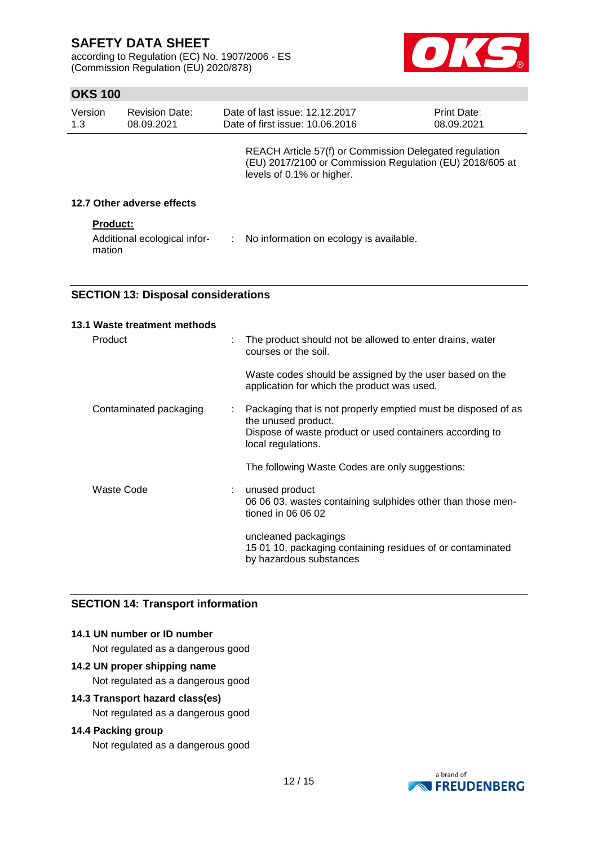according to Regulation (EC) No. 1907/2006 - ES (Commission Regulation (EU) 2020/878)



# **OKS 100**

| Version<br>1.3 | <b>Revision Date:</b><br>08.09.2021    |    | Date of last issue: 12.12.2017<br>Date of first issue: 10.06.2016                                                                               | <b>Print Date:</b><br>08.09.2021 |
|----------------|----------------------------------------|----|-------------------------------------------------------------------------------------------------------------------------------------------------|----------------------------------|
|                |                                        |    | REACH Article 57(f) or Commission Delegated regulation<br>(EU) 2017/2100 or Commission Regulation (EU) 2018/605 at<br>levels of 0.1% or higher. |                                  |
|                | 12.7 Other adverse effects             |    |                                                                                                                                                 |                                  |
|                | <b>Product:</b>                        |    |                                                                                                                                                 |                                  |
|                | Additional ecological infor-<br>mation | ÷. | No information on ecology is available.                                                                                                         |                                  |

### **SECTION 13: Disposal considerations**

| 13.1 Waste treatment methods |   |                                                                                                               |
|------------------------------|---|---------------------------------------------------------------------------------------------------------------|
| Product                      | t | The product should not be allowed to enter drains, water<br>courses or the soil.                              |
|                              |   | Waste codes should be assigned by the user based on the<br>application for which the product was used.        |
| Contaminated packaging       | ÷ | Packaging that is not properly emptied must be disposed of as<br>the unused product.                          |
|                              |   | Dispose of waste product or used containers according to<br>local regulations.                                |
|                              |   | The following Waste Codes are only suggestions:                                                               |
| Waste Code                   |   | unused product<br>06 06 03, wastes containing sulphides other than those men-<br>tioned in 06 06 02           |
|                              |   | uncleaned packagings<br>15 01 10, packaging containing residues of or contaminated<br>by hazardous substances |

# **SECTION 14: Transport information**

### **14.1 UN number or ID number**

Not regulated as a dangerous good

# **14.2 UN proper shipping name**

Not regulated as a dangerous good

## **14.3 Transport hazard class(es)**

Not regulated as a dangerous good

## **14.4 Packing group**

Not regulated as a dangerous good

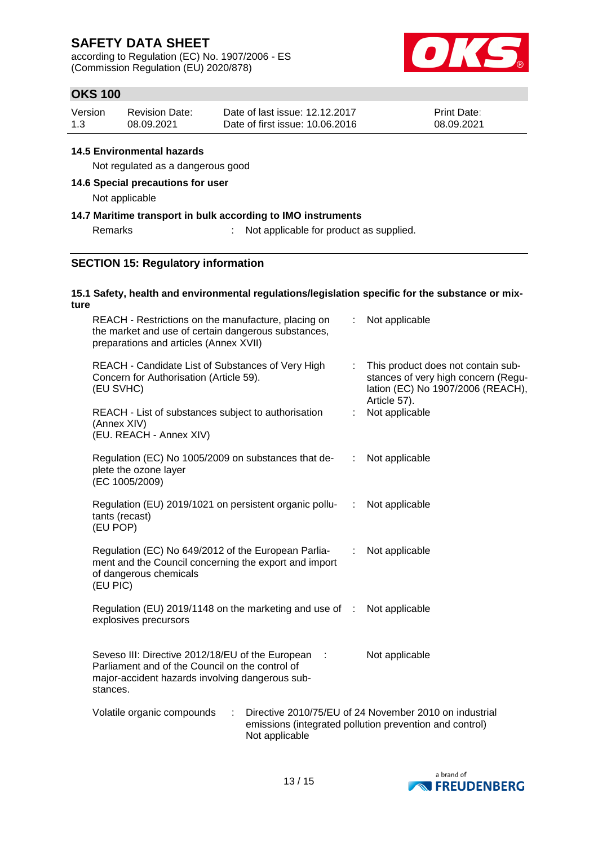according to Regulation (EC) No. 1907/2006 - ES (Commission Regulation (EU) 2020/878)



# **OKS 100**

| Version | <b>Revision Date:</b> | Date of last issue: 12.12.2017  | <b>Print Date:</b> |
|---------|-----------------------|---------------------------------|--------------------|
| 1.3     | 08.09.2021            | Date of first issue: 10.06.2016 | 08.09.2021         |

### **14.5 Environmental hazards**

Not regulated as a dangerous good

### **14.6 Special precautions for user**

Not applicable

### **14.7 Maritime transport in bulk according to IMO instruments**

### Remarks : Not applicable for product as supplied.

### **SECTION 15: Regulatory information**

#### **15.1 Safety, health and environmental regulations/legislation specific for the substance or mixture**

| REACH - Restrictions on the manufacture, placing on<br>the market and use of certain dangerous substances,<br>preparations and articles (Annex XVII)               |                |    | Not applicable                                                                                                                 |
|--------------------------------------------------------------------------------------------------------------------------------------------------------------------|----------------|----|--------------------------------------------------------------------------------------------------------------------------------|
| REACH - Candidate List of Substances of Very High<br>Concern for Authorisation (Article 59).<br>(EU SVHC)                                                          |                | ÷. | This product does not contain sub-<br>stances of very high concern (Regu-<br>lation (EC) No 1907/2006 (REACH),<br>Article 57). |
| REACH - List of substances subject to authorisation<br>(Annex XIV)<br>(EU. REACH - Annex XIV)                                                                      |                | ÷. | Not applicable                                                                                                                 |
| Regulation (EC) No 1005/2009 on substances that de-<br>plete the ozone layer<br>(EC 1005/2009)                                                                     |                | ÷  | Not applicable                                                                                                                 |
| Regulation (EU) 2019/1021 on persistent organic pollu-<br>tants (recast)<br>(EU POP)                                                                               |                | ÷. | Not applicable                                                                                                                 |
| Regulation (EC) No 649/2012 of the European Parlia-<br>ment and the Council concerning the export and import<br>of dangerous chemicals<br>(EU PIC)                 |                | ÷  | Not applicable                                                                                                                 |
| Regulation (EU) 2019/1148 on the marketing and use of :<br>explosives precursors                                                                                   |                |    | Not applicable                                                                                                                 |
| Seveso III: Directive 2012/18/EU of the European<br>Parliament and of the Council on the control of<br>major-accident hazards involving dangerous sub-<br>stances. | - 1            |    | Not applicable                                                                                                                 |
| Volatile organic compounds<br>÷                                                                                                                                    | Not applicable |    | Directive 2010/75/EU of 24 November 2010 on industrial<br>emissions (integrated pollution prevention and control)              |

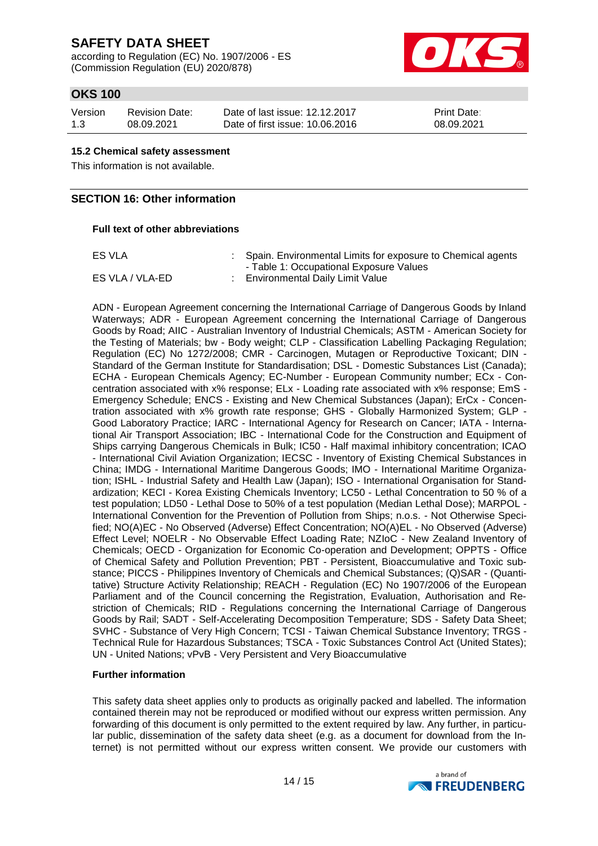according to Regulation (EC) No. 1907/2006 - ES (Commission Regulation (EU) 2020/878)



# **OKS 100**

| Version | Revision Date: | Date of last issue: 12.12.2017  | <b>Print Date:</b> |
|---------|----------------|---------------------------------|--------------------|
| 1.3     | 08.09.2021     | Date of first issue: 10.06.2016 | 08.09.2021         |

#### **15.2 Chemical safety assessment**

This information is not available.

### **SECTION 16: Other information**

#### **Full text of other abbreviations**

| ES VLA          | : Spain. Environmental Limits for exposure to Chemical agents |
|-----------------|---------------------------------------------------------------|
|                 | - Table 1: Occupational Exposure Values                       |
| ES VLA / VLA-ED | Environmental Daily Limit Value                               |

ADN - European Agreement concerning the International Carriage of Dangerous Goods by Inland Waterways; ADR - European Agreement concerning the International Carriage of Dangerous Goods by Road; AIIC - Australian Inventory of Industrial Chemicals; ASTM - American Society for the Testing of Materials; bw - Body weight; CLP - Classification Labelling Packaging Regulation; Regulation (EC) No 1272/2008; CMR - Carcinogen, Mutagen or Reproductive Toxicant; DIN - Standard of the German Institute for Standardisation; DSL - Domestic Substances List (Canada); ECHA - European Chemicals Agency; EC-Number - European Community number; ECx - Concentration associated with x% response; ELx - Loading rate associated with x% response; EmS - Emergency Schedule; ENCS - Existing and New Chemical Substances (Japan); ErCx - Concentration associated with x% growth rate response; GHS - Globally Harmonized System; GLP - Good Laboratory Practice; IARC - International Agency for Research on Cancer; IATA - International Air Transport Association; IBC - International Code for the Construction and Equipment of Ships carrying Dangerous Chemicals in Bulk; IC50 - Half maximal inhibitory concentration; ICAO - International Civil Aviation Organization; IECSC - Inventory of Existing Chemical Substances in China; IMDG - International Maritime Dangerous Goods; IMO - International Maritime Organization; ISHL - Industrial Safety and Health Law (Japan); ISO - International Organisation for Standardization; KECI - Korea Existing Chemicals Inventory; LC50 - Lethal Concentration to 50 % of a test population; LD50 - Lethal Dose to 50% of a test population (Median Lethal Dose); MARPOL - International Convention for the Prevention of Pollution from Ships; n.o.s. - Not Otherwise Specified; NO(A)EC - No Observed (Adverse) Effect Concentration; NO(A)EL - No Observed (Adverse) Effect Level; NOELR - No Observable Effect Loading Rate; NZIoC - New Zealand Inventory of Chemicals; OECD - Organization for Economic Co-operation and Development; OPPTS - Office of Chemical Safety and Pollution Prevention; PBT - Persistent, Bioaccumulative and Toxic substance; PICCS - Philippines Inventory of Chemicals and Chemical Substances; (Q)SAR - (Quantitative) Structure Activity Relationship; REACH - Regulation (EC) No 1907/2006 of the European Parliament and of the Council concerning the Registration, Evaluation, Authorisation and Restriction of Chemicals; RID - Regulations concerning the International Carriage of Dangerous Goods by Rail; SADT - Self-Accelerating Decomposition Temperature; SDS - Safety Data Sheet; SVHC - Substance of Very High Concern; TCSI - Taiwan Chemical Substance Inventory; TRGS - Technical Rule for Hazardous Substances; TSCA - Toxic Substances Control Act (United States); UN - United Nations; vPvB - Very Persistent and Very Bioaccumulative

#### **Further information**

This safety data sheet applies only to products as originally packed and labelled. The information contained therein may not be reproduced or modified without our express written permission. Any forwarding of this document is only permitted to the extent required by law. Any further, in particular public, dissemination of the safety data sheet (e.g. as a document for download from the Internet) is not permitted without our express written consent. We provide our customers with